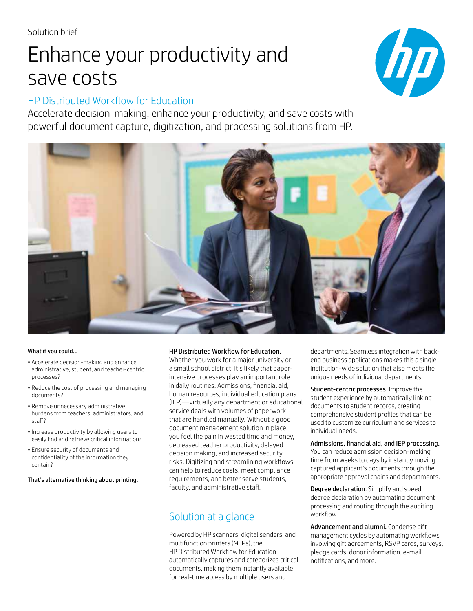# Enhance your productivity and save costs

# HP Distributed Workflow for Education

Accelerate decision-making, enhance your productivity, and save costs with powerful document capture, digitization, and processing solutions from HP.





#### What if you could…

- Accelerate decision-making and enhance administrative, student, and teacher-centric processes?
- Reduce the cost of processing and managing documents?
- Remove unnecessary administrative burdens from teachers, administrators, and staff?
- Increase productivity by allowing users to easily find and retrieve critical information?
- Ensure security of documents and confidentiality of the information they contain?

That's alternative thinking about printing.

## HP Distributed Workflow for Education.

Whether you work for a major university or a small school district, it's likely that paperintensive processes play an important role in daily routines. Admissions, financial aid, human resources, individual education plans (IEP)—virtually any department or educational service deals with volumes of paperwork that are handled manually. Without a good document management solution in place, you feel the pain in wasted time and money, decreased teacher productivity, delayed decision making, and increased security risks. Digitizing and streamlining workflows can help to reduce costs, meet compliance requirements, and better serve students, faculty, and administrative staff.

# Solution at a glance

Powered by HP scanners, digital senders, and multifunction printers (MFPs), the HP Distributed Workflow for Education automatically captures and categorizes critical documents, making them instantly available for real-time access by multiple users and

departments. Seamless integration with backend business applications makes this a single institution-wide solution that also meets the unique needs of individual departments.

Student-centric processes. Improve the student experience by automatically linking documents to student records, creating comprehensive student profiles that can be used to customize curriculum and services to individual needs.

## Admissions, financial aid, and IEP processing.

You can reduce admission decision-making time from weeks to days by instantly moving captured applicant's documents through the appropriate approval chains and departments.

Degree declaration. Simplify and speed degree declaration by automating document processing and routing through the auditing workflow.

Advancement and alumni. Condense giftmanagement cycles by automating workflows involving gift agreements, RSVP cards, surveys, pledge cards, donor information, e-mail notifications, and more.